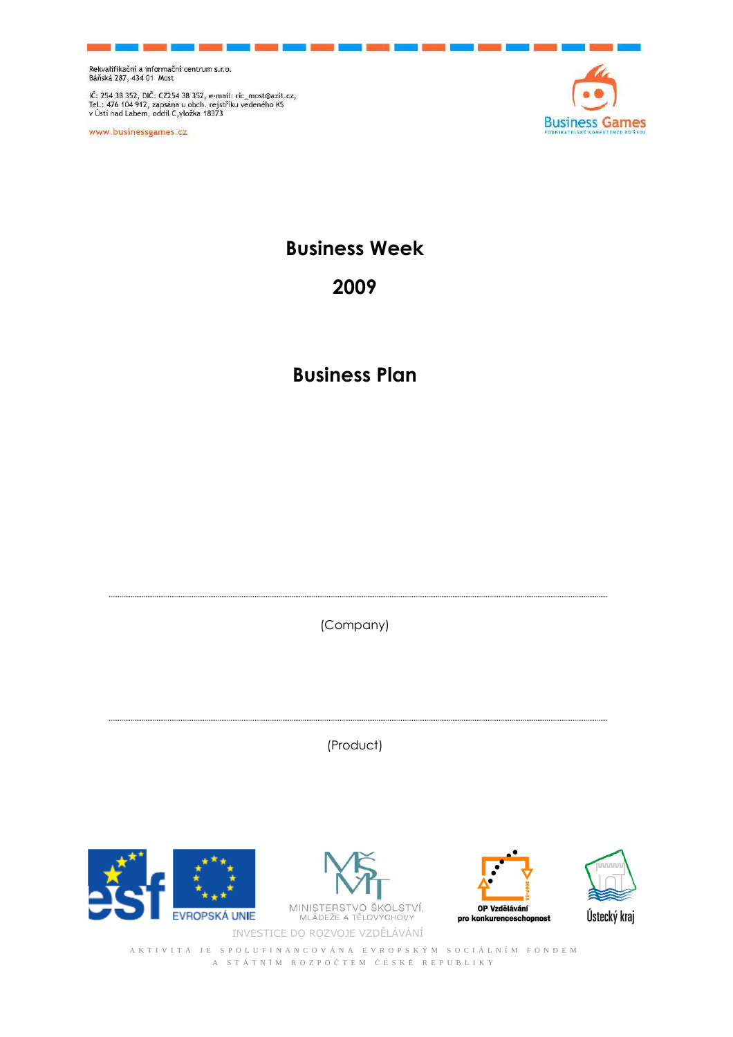IČ: 254 38 352, DIČ: CZ254 38 352, e-mail: ric\_most@azit.cz,<br>Tel.: 476 104 912, zapsána u obch. rejstříku vedeného KS<br>v Ústí nad Labem, oddíl C,vložka 18373

www.businessgames.cz



**Business Week** 

## **2009**

## **Business Plan**

(Company)

(Product)







3 Ústecký kraj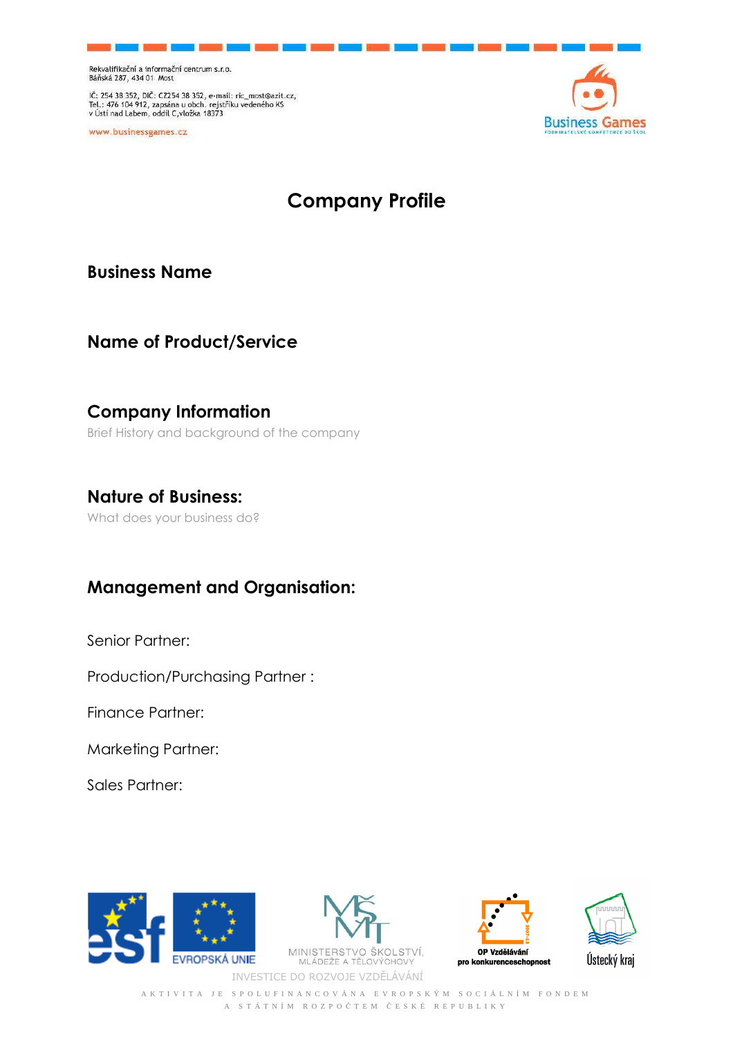IČ: 254 38 352, DIČ: CZ254 38 352, e-mail: ric\_most@azit.cz,<br>Tel.: 476 104 912, zapsána u obch. rejstříku vedeného KS<br>v Ústí nad Labem, oddíl C,vložka 18373

www.businessgames.cz



# **Company Profile**

**Business Name** 

### **Name of Product/Service**

## **Company Information**

Brief History and background of the company

#### **Nature of Business:**

What does your business do?

## **Management and Organisation:**

Senior Partner:

Production/Purchasing Partner :

Finance Partner:

Marketing Partner:

Sales Partner:







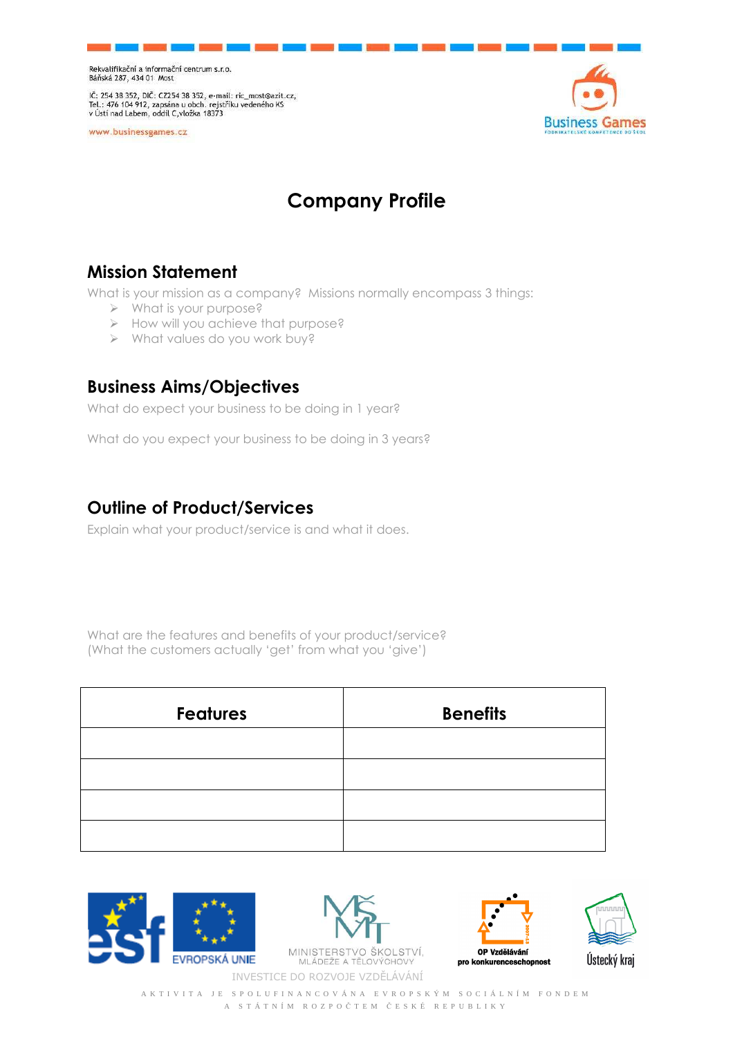IČ: 254 38 352, DIČ: CZ254 38 352, e-mail: ric\_most@azit.cz,<br>Tel.: 476 104 912, zapsána u obch. rejstříku vedeného KS<br>v Ústí nad Labem, oddíl C,vložka 18373

www.businessgames.cz



# **Company Profile**

## **Mission Statement**

What is your mission as a company? Missions normally encompass 3 things:

- What is your purpose?
- > How will you achieve that purpose?
- What values do you work buy?

#### **Business Aims/Objectives**

What do expect your business to be doing in 1 year?

What do you expect your business to be doing in 3 years?

## **Outline of Product/Services**

Explain what your product/service is and what it does.

What are the features and benefits of your product/service? (What the customers actually 'get' from what you 'give')

| <b>Features</b> | <b>Benefits</b> |  |  |
|-----------------|-----------------|--|--|
|                 |                 |  |  |
|                 |                 |  |  |
|                 |                 |  |  |
|                 |                 |  |  |









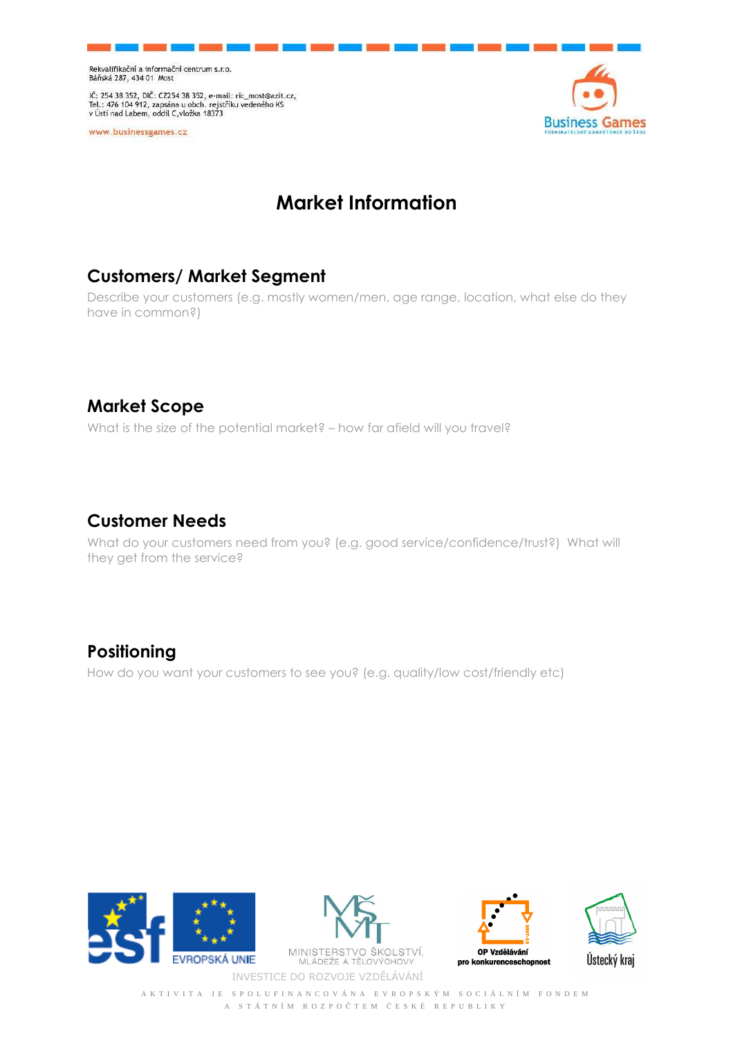IČ: 254 38 352, DIČ: CZ254 38 352, e-mail: ric\_most@azit.cz,<br>Tel.: 476 104 912, zapsána u obch. rejstříku vedeného KS<br>v Ústí nad Labem, oddíl C,vložka 18373

www.businessgames.cz



## **Market Information**

## **Customers/ Market Segment**

Describe your customers (e.g. mostly women/men, age range, location, what else do they have in common?)

## **Market Scope**

What is the size of the potential market? – how far afield will you travel?

### **Customer Needs**

What do your customers need from you? (e.g. good service/confidence/trust?) What will they get from the service?

### **Positioning**

How do you want your customers to see you? (e.g. quality/low cost/friendly etc)







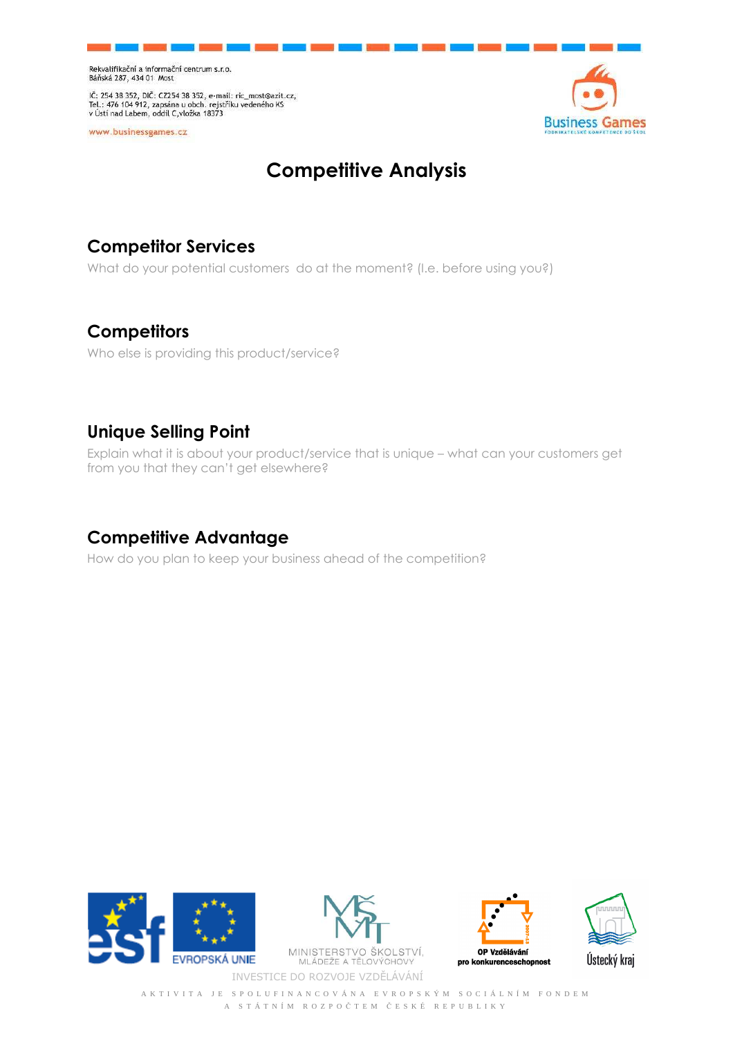IČ: 254 38 352, DIČ: CZ254 38 352, e-mail: ric\_most@azit.cz,<br>Tel.: 476 104 912, zapsána u obch. rejstříku vedeného KS<br>v Ústí nad Labem, oddíl C,vložka 18373

www.businessgames.cz



# **Competitive Analysis**

## **Competitor Services**

What do your potential customers do at the moment? (I.e. before using you?)

### **Competitors**

Who else is providing this product/service?

## **Unique Selling Point**

Explain what it is about your product/service that is unique – what can your customers get from you that they can't get elsewhere?

## **Competitive Advantage**

How do you plan to keep your business ahead of the competition?







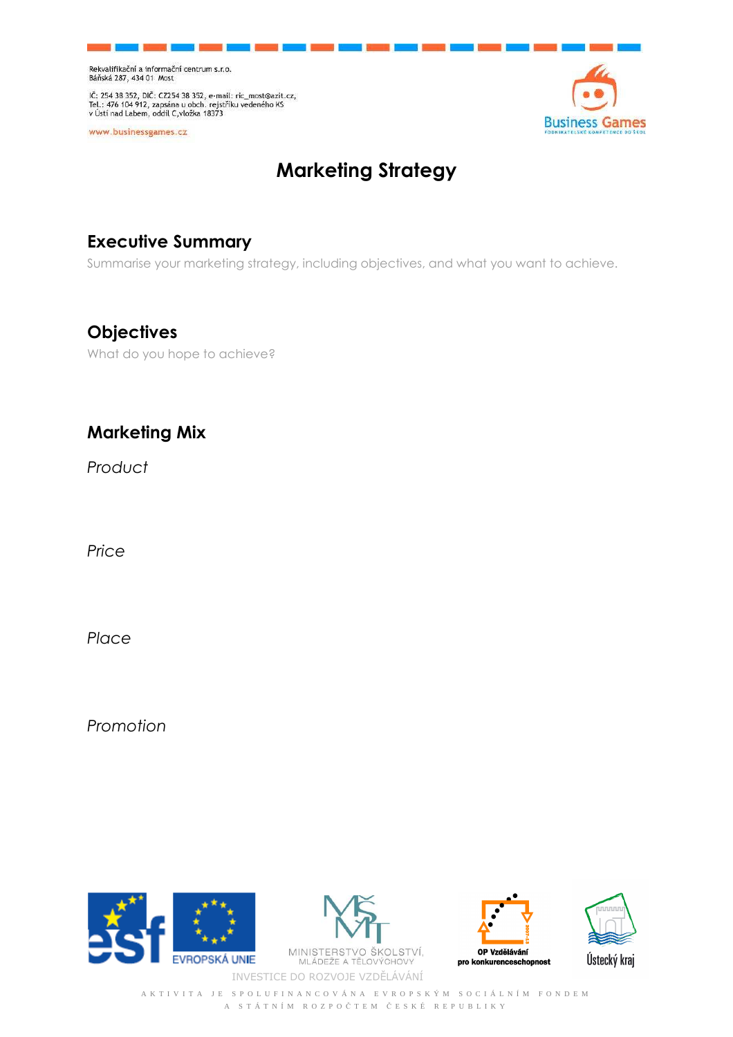IČ: 254 38 352, DIČ: CZ254 38 352, e-mail: ric\_most@azit.cz,<br>Tel.: 476 104 912, zapsána u obch. rejstříku vedeného KS<br>v Ústí nad Labem, oddíl C,vložka 18373

www.businessgames.cz



# **Marketing Strategy**

## **Executive Summary**

Summarise your marketing strategy, including objectives, and what you want to achieve.

## **Objectives**

What do you hope to achieve?

## **Marketing Mix**

*Product* 

*Price* 

*Place* 

*Promotion* 





INVESTICE DO ROZVOJE VZDĚLÁVÁNÍ



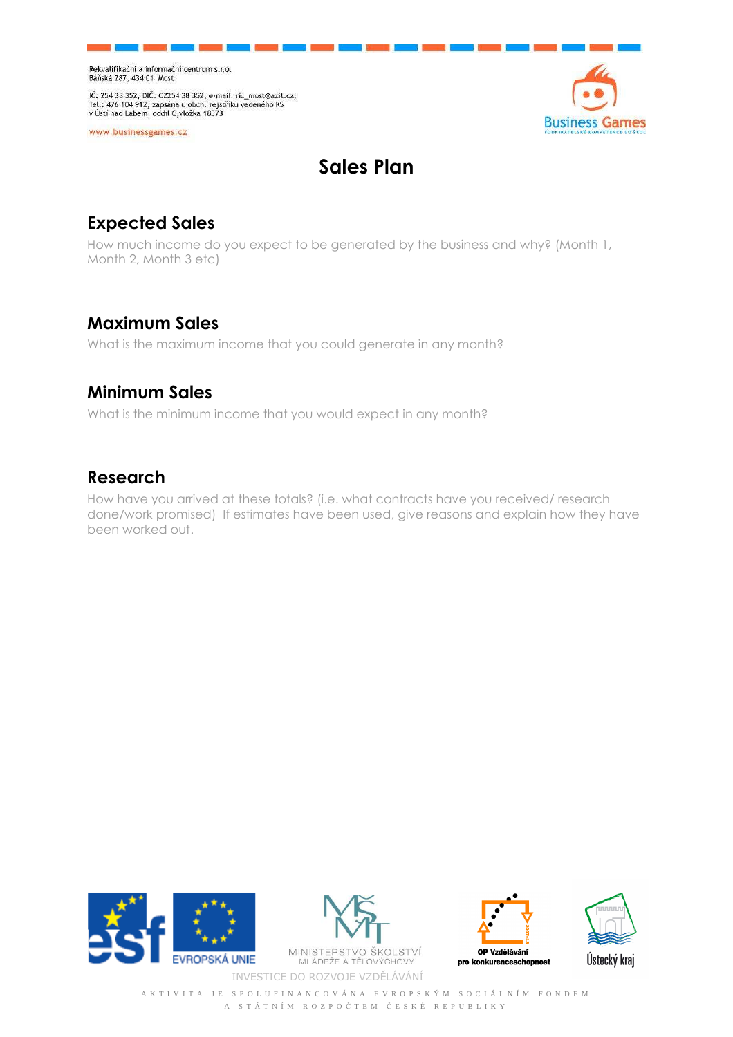IČ: 254 38 352, DIČ: CZ254 38 352, e-mail: ric\_most@azit.cz,<br>Tel.: 476 104 912, zapsána u obch. rejstříku vedeného KS<br>v Ústí nad Labem, oddíl C,vložka 18373

www.businessgames.cz



# **Sales Plan**

## **Expected Sales**

How much income do you expect to be generated by the business and why? (Month 1, Month 2, Month 3 etc)

## **Maximum Sales**

What is the maximum income that you could generate in any month?

#### **Minimum Sales**

What is the minimum income that you would expect in any month?

### **Research**

How have you arrived at these totals? (i.e. what contracts have you received/ research done/work promised) If estimates have been used, give reasons and explain how they have been worked out.





**MINISTERST** ŠKOLSTVÍ, INVESTICE DO ROZVOJE VZDĚLÁVÁNÍ



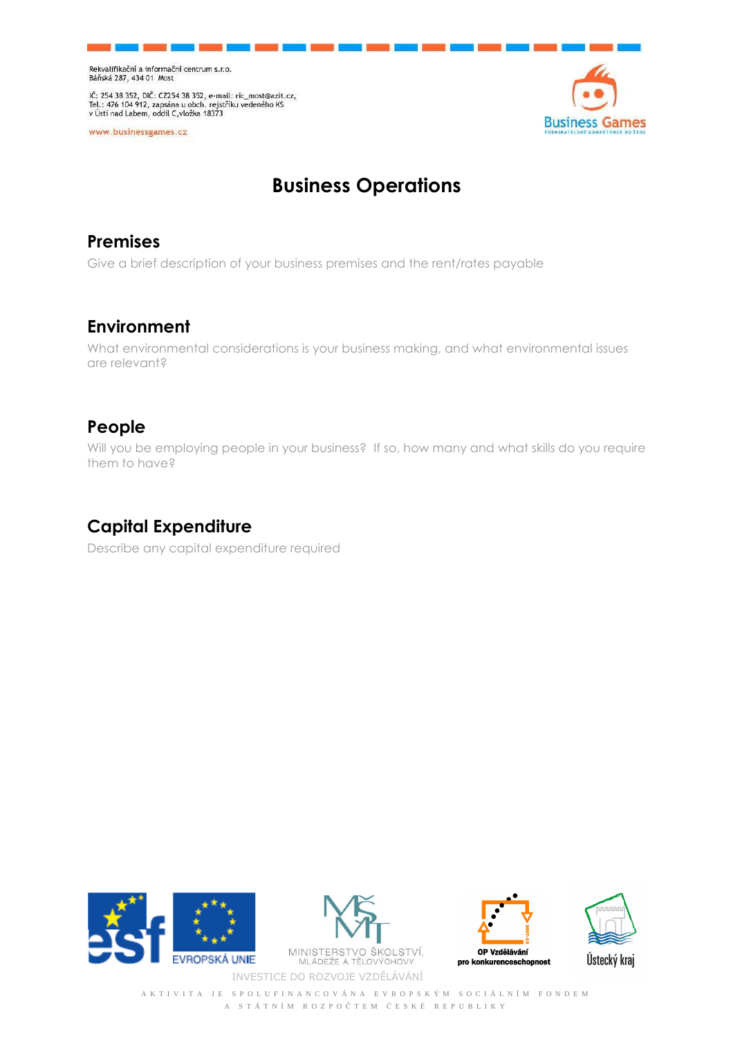IČ: 254 38 352, DIČ: CZ254 38 352, e-mail: ric\_most@azit.cz,<br>Tel.: 476 104 912, zapsána u obch. rejstříku vedeného KS<br>v Ústí nad Labem, oddíl C,vložka 18373

www.businessgames.cz



# **Business Operations**

### **Premises**

Give a brief description of your business premises and the rent/rates payable

### **Environment**

What environmental considerations is your business making, and what environmental issues are relevant?

## **People**

Will you be employing people in your business? If so, how many and what skills do you require them to have?

## **Capital Expenditure**

Describe any capital expenditure required





**MINISTERST** ŠKOLSTVÍ, INVESTICE DO ROZVOJE VZDĚLÁVÁNÍ